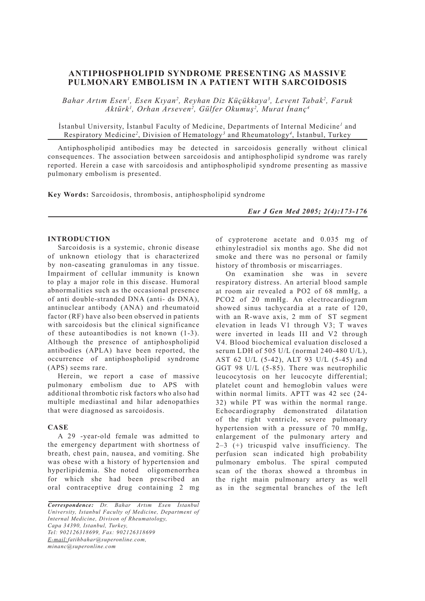# **ANTIPHOSPHOLIPID SYNDROME PRESENTING AS MASSIVE PULMONARY EMBOLISM IN A PATIENT WITH SARCOIDOSIS**

*Bahar Artım Esen1 , Esen Kıyan2 , Reyhan Diz Küçükkaya3 , Levent Tabak2 , Faruk Aktürk1 , Orhan Arseven2 , Gülfer Okumuş2 , Murat İnanç4*

İstanbul University, İstanbul Faculty of Medicine, Departments of Internal Medicine*<sup>1</sup>* and Respiratory Medicine*<sup>2</sup>* , Division of Hematology*<sup>3</sup>* and Rheumatology*<sup>4</sup>* , İstanbul, Turkey

Antiphospholipid antibodies may be detected in sarcoidosis generally without clinical consequences. The association between sarcoidosis and antiphospholipid syndrome was rarely reported. Herein a case with sarcoidosis and antiphospholipid syndrome presenting as massive pulmonary embolism is presented.

**Key Words:** Sarcoidosis, thrombosis, antiphospholipid syndrome

*Eur J Gen Med 2005; 2(4):173-176*

### **INTRODUCTION**

Sarcoidosis is a systemic, chronic disease of unknown etiology that is characterized by non-caseating granulomas in any tissue. Impairment of cellular immunity is known to play a major role in this disease. Humoral abnormalities such as the occasional presence of anti double-stranded DNA (anti- ds DNA), antinuclear antibody (ANA) and rheumatoid factor (RF) have also been observed in patients with sarcoidosis but the clinical significance of these autoantibodies is not known (1-3). Although the presence of antiphospholipid antibodies (APLA) have been reported, the occurrence of antiphospholipid syndrome (APS) seems rare.

Herein, we report a case of massive pulmonary embolism due to APS with additional thrombotic risk factors who also had multiple mediastinal and hilar adenopathies that were diagnosed as sarcoidosis.

## **CASE**

A 29 -year-old female was admitted to the emergency department with shortness of breath, chest pain, nausea, and vomiting. She was obese with a history of hypertension and hyperlipidemia. She noted oligomenorrhea for which she had been prescribed an oral contraceptive drug containing 2 mg

*Correspondence: Dr. Bahar Artım Esen İstanbul University, Istanbul Faculty of Medicine, Department of Internal Medicine, Divison of Rheumatology, Capa 34390, Istanbul, Turkey, Tel: 902126318699, Fax: 902126318699 E-mail:fatihbahar@superonline.com, minanc@superonline.com*

of cyproterone acetate and 0.035 mg of ethinylestradiol six months ago. She did not smoke and there was no personal or family history of thrombosis or miscarriages.

On examination she was in severe respiratory distress. An arterial blood sample at room air revealed a PO2 of 68 mmHg, a PCO2 of 20 mmHg. An electrocardiogram showed sinus tachycardia at a rate of 120, with an R-wave axis, 2 mm of ST segment elevation in leads V1 through V3; T waves were inverted in leads III and V2 through V4. Blood biochemical evaluation disclosed a serum LDH of 505 U/L (normal 240-480 U/L), AST 62 U/L (5-42), ALT 93 U/L (5-45) and GGT 98 U/L (5-85). There was neutrophilic leucocytosis on her leucocyte differential; platelet count and hemoglobin values were within normal limits. APTT was 42 sec (24- 32) while PT was within the normal range. Echocardiography demonstrated dilatation of the right ventricle, severe pulmonary hypertension with a pressure of 70 mmHg, enlargement of the pulmonary artery and 2–3 (+) tricuspid valve insufficiency. The perfusion scan indicated high probability pulmonary embolus. The spiral computed scan of the thorax showed a thrombus in the right main pulmonary artery as well as in the segmental branches of the left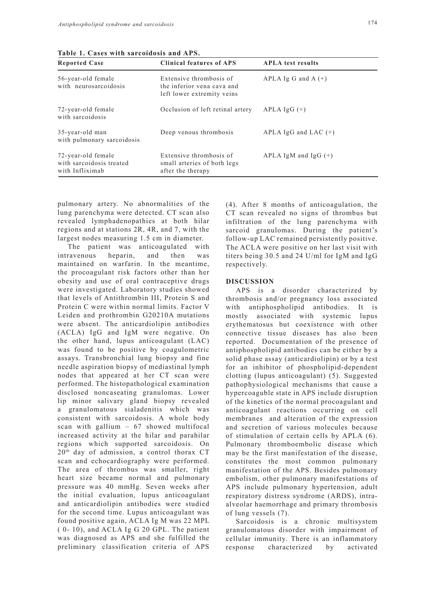| <b>Reported Case</b>                                              | <b>Clinical features of APS</b>                                                     | <b>APLA</b> test results |
|-------------------------------------------------------------------|-------------------------------------------------------------------------------------|--------------------------|
| 56-year-old female<br>with neurosarcoidosis                       | Extensive thrombosis of<br>the inferior vena cava and<br>left lower extremity veins | APLA Ig G and A $(+)$    |
| 72-year-old female<br>with sarcoidosis                            | Occlusion of left retinal artery                                                    | $APLA IgG (+)$           |
| 35-year-old man<br>with pulmonary sarcoidosis                     | Deep venous thrombosis                                                              | APLA IgG and LAC $(+)$   |
| 72-year-old female<br>with sarcoidosis treated<br>with Infliximab | Extensive thrombosis of<br>small arteries of both legs<br>after the therapy         | APLA IgM and IgG $(+)$   |

**Table 1. Cases with sarcoidosis and APS.**

pulmonary artery. No abnormalities of the lung parenchyma were detected. CT scan also revealed lymphadenopathies at both hilar regions and at stations 2R, 4R, and 7, with the largest nodes measuring 1.5 cm in diameter.

The patient was anticoagulated with intravenous heparin, and then was maintained on warfarin. In the meantime, the procoagulant risk factors other than her obesity and use of oral contraceptive drugs were investigated. Laboratory studies showed that levels of Antithrombin III, Protein S and Protein C were within normal limits. Factor V Leiden and prothrombin G20210A mutations were absent. The anticardiolipin antibodies (ACLA) IgG and IgM were negative. On the other hand, lupus anticoagulant (LAC) was found to be positive by coagulometric assays. Transbronchial lung biopsy and fine needle aspiration biopsy of mediastinal lymph nodes that appeared at her CT scan were performed. The histopathological examination disclosed noncaseating granulomas. Lower lip minor salivary gland biopsy revealed a granulomatous sialadenitis which was consistent with sarcoidosis. A whole body scan with gallium – 67 showed multifocal increased activity at the hilar and parahilar regions which supported sarcoidosis. On 20th day of admission, a control thorax CT scan and echocardiography were performed. The area of thrombus was smaller, right heart size became normal and pulmonary pressure was 40 mmHg. Seven weeks after the initial evaluation, lupus anticoagulant and anticardiolipin antibodies were studied for the second time. Lupus anticoagulant was found positive again, ACLA Ig M was 22 MPL ( 0- 10), and ACLA Ig G 20 GPL. The patient was diagnosed as APS and she fulfilled the preliminary classification criteria of APS (4). After 8 months of anticoagulation, the CT scan revealed no signs of thrombus but infiltration of the lung parenchyma with sarcoid granulomas. During the patient's follow-up LAC remained persistently positive. The ACLA were positive on her last visit with titers being 30.5 and 24 U/ml for IgM and IgG respectively.

#### **DISCUSSION**

APS is a disorder characterized by thrombosis and/or pregnancy loss associated with antiphospholipid antibodies. It is mostly associated with systemic lupus erythematosus but coexistence with other connective tissue diseases has also been reported. Documentation of the presence of antiphospholipid antibodies can be either by a solid phase assay (anticardiolipin) or by a test for an inhibitor of phospholipid-dependent clotting (lupus anticoagulant) (5). Suggested pathophysiological mechanisms that cause a hypercoaguble state in APS include disruption of the kinetics of the normal procoagulant and anticoagulant reactions occurring on cell membranes and alteration of the expression and secretion of various molecules because of stimulation of certain cells by APLA (6). Pulmonary thromboembolic disease which may be the first manifestation of the disease, constitutes the most common pulmonary manifestation of the APS. Besides pulmonary embolism, other pulmonary manifestations of APS include pulmonary hypertension, adult respiratory distress syndrome (ARDS), intraalveolar haemorrhage and primary thrombosis of lung vessels (7).

Sarcoidosis is a chronic multisystem granulomatous disorder with impairment of cellular immunity. There is an inflammatory response characterized by activated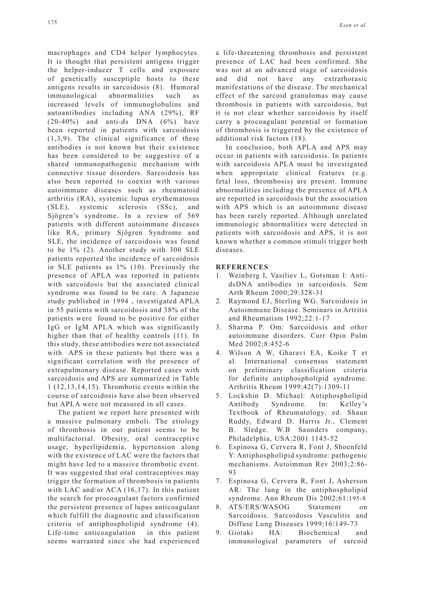macrophages and CD4 helper lymphocytes. It is thought that persistent antigens trigger the helper-inducer T cells and exposure of genetically susceptiple hosts to these antigens results in sarcoidosis (8). Humoral immunological abnormalities such as increased levels of immunoglobulins and autoantibodies including ANA (29%), RF  $(20-40\%)$  and anti-ds DNA  $(6\%)$  have been reported in patients with sarcoidosis (1,3,9). The clinical significance of these antibodies is not known but their existence has been considered to be suggestive of a shared immunopathogenic mechanism with connective tissue disorders. Sarcoidosis has also been reported to coexist with various autoimmune diseases such as rheumatoid arthritis (RA), systemic lupus erythematosus (SLE), systemic sclerosis (SSc), and Sjögren's syndrome. In a review of 569 patients with different autoimmune diseases like RA, primary Sjögren Syndrome and SLE, the incidence of sarcoidosis was found to be 1% (2). Another study with 300 SLE patients reported the incidence of sarcoidosis in SLE patients as 1% (10). Previously the presence of APLA was reported in patients with sarcoidosis but the associated clinical syndrome was found to be rare. A Japanese study published in 1994 , investigated APLA in 55 patients with sarcoidosis and 38% of the patients were found to be positive for either IgG or IgM APLA which was significantly higher than that of healthy controls (11). In this study, these antibodies were not associated with APS in these patients but there was a significant correlation with the presence of extrapulmonary disease. Reported cases with sarcoidosis and APS are summarized in Table 1 (12,13,14,15). Thrombotic events within the course of sarcoidosis have also been observed but APLA were not measured in all cases.

The patient we report here presented with a massive pulmonary emboli. The etiology of thrombosis in our patient seems to be multifactorial. Obesity, oral contraceptive usage, hyperlipidemia, hypertension along with the existence of LAC were the factors that might have led to a massive thrombotic event. It was suggested that oral contraceptives may trigger the formation of thrombosis in patients with LAC and/or ACA (16,17). In this patient the search for procoagulant factors confirmed the persistent presence of lupus anticoagulant which fulfill the diagnostic and classification criteria of antiphospholipid syndrome (4). Life-time anticoagulation in this patient seems warranted since she had experienced

a life-threatening thrombosis and persistent presence of LAC had been confirmed. She was not at an advanced stage of sarcoidosis and did not have any extrathorasic manifestations of the disease. The mechanical effect of the sarcoid granulomas may cause thrombosis in patients with sarcoidosis, but it is not clear whether sarcoidosis by itself carry a procoagulant potential or formation of thrombosis is triggered by the existence of additional risk factors (18).

In conclusion, both APLA and APS may occur in patients with sarcoidosis. In patients with sarcoidosis APLA must be investigated when appropriate clinical features (e.g. fetal loss, thrombosis) are present. Immune abnormalities including the presence of APLA are reported in sarcoidosis but the association with APS which is an autoimmune disease has been rarely reported. Although unrelated immunologic abnormalities were detected in patients with sarcoidosis and APS, it is not known whether a common stimuli trigger both diseases.

#### **REFERENCES**

- 1. Weinberg I, Vasiliev L, Gotsman I: AntidsDNA antibodies in sarcoidosis. Sem Arth Rheum 2000;29:328-31
- 2. Raymond EJ, Sterling WG. Sarcoidosis in Autoimmune Disease. Seminars in Artritis and Rheumatism 1992;22:1-17
- 3. Sharma P. Om: Sarcoidosis and other autoimmune disorders. Curr Opin Pulm Med 2002;8:452-6
- 4. Wilson A W, Gharavi EA, Koike T et al. International consensus statement on preliminary classification criteria for definite antiphospholipid syndrome. Arthritis Rheum 1999;42(7):1309-11
- 5. Lockshin D. Michael: Antiphospholipid Antibody Syndrome. In: Kelley's Textbook of Rheumatology, ed. Shaun Ruddy, Edward D. Harris Jr., Clement B. Sledge. W.B Saunders company, Philadelphia, USA:2001 1145-52
- 6. Espinosa G, Cervera R, Font J, Shoenfeld Y: Antiphospholipid syndrome: pathogenic mechanisms. Autoimmun Rev 2003;2:86- 93
- 7. Espinosa G, Cervera R, Font J, Asherson AR: The lung in the antiphospholipid syndrome. Ann Rheum Dis 2002;61:195-8
- 8. ATS/ERS/WASOG Statement on Sarcoidosis. Sarcoidosis Vasculitis and Diffuse Lung Diseases 1999;16:149-73
- 9. Giotaki HA: Biochemical and immunological parameters of sarcoid